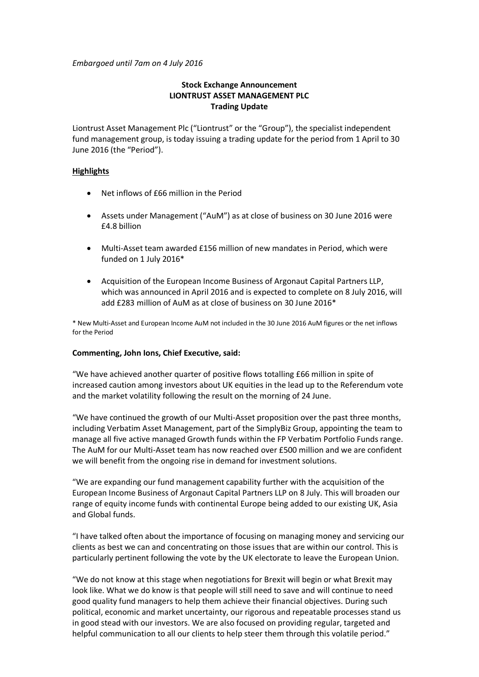*Embargoed until 7am on 4 July 2016*

# **Stock Exchange Announcement LIONTRUST ASSET MANAGEMENT PLC Trading Update**

Liontrust Asset Management Plc ("Liontrust" or the "Group"), the specialist independent fund management group, is today issuing a trading update for the period from 1 April to 30 June 2016 (the "Period").

## **Highlights**

- Net inflows of £66 million in the Period
- Assets under Management ("AuM") as at close of business on 30 June 2016 were £4.8 billion
- Multi-Asset team awarded £156 million of new mandates in Period, which were funded on 1 July 2016\*
- Acquisition of the European Income Business of Argonaut Capital Partners LLP, which was announced in April 2016 and is expected to complete on 8 July 2016, will add £283 million of AuM as at close of business on 30 June 2016\*

\* New Multi-Asset and European Income AuM not included in the 30 June 2016 AuM figures or the net inflows for the Period

## **Commenting, John Ions, Chief Executive, said:**

"We have achieved another quarter of positive flows totalling £66 million in spite of increased caution among investors about UK equities in the lead up to the Referendum vote and the market volatility following the result on the morning of 24 June.

"We have continued the growth of our Multi-Asset proposition over the past three months, including Verbatim Asset Management, part of the SimplyBiz Group, appointing the team to manage all five active managed Growth funds within the FP Verbatim Portfolio Funds range. The AuM for our Multi-Asset team has now reached over £500 million and we are confident we will benefit from the ongoing rise in demand for investment solutions.

"We are expanding our fund management capability further with the acquisition of the European Income Business of Argonaut Capital Partners LLP on 8 July. This will broaden our range of equity income funds with continental Europe being added to our existing UK, Asia and Global funds.

"I have talked often about the importance of focusing on managing money and servicing our clients as best we can and concentrating on those issues that are within our control. This is particularly pertinent following the vote by the UK electorate to leave the European Union.

"We do not know at this stage when negotiations for Brexit will begin or what Brexit may look like. What we do know is that people will still need to save and will continue to need good quality fund managers to help them achieve their financial objectives. During such political, economic and market uncertainty, our rigorous and repeatable processes stand us in good stead with our investors. We are also focused on providing regular, targeted and helpful communication to all our clients to help steer them through this volatile period."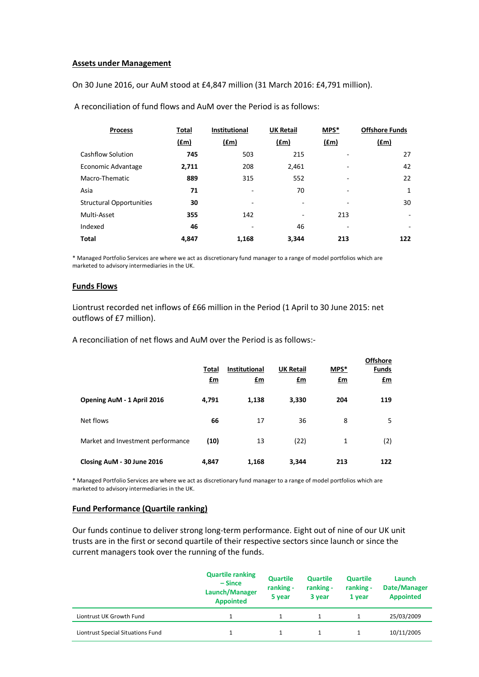#### **Assets under Management**

On 30 June 2016, our AuM stood at £4,847 million (31 March 2016: £4,791 million).

| <b>Process</b>                  | Total         | <b>Institutional</b> | <b>UK Retail</b> | MPS*          | <b>Offshore Funds</b>    |
|---------------------------------|---------------|----------------------|------------------|---------------|--------------------------|
|                                 | $(\text{fm})$ | $(\text{fm})$        | (fm)             | $(\text{fm})$ | $(\text{fm})$            |
| <b>Cashflow Solution</b>        | 745           | 503                  | 215              |               | 27                       |
| Economic Advantage              | 2,711         | 208                  | 2,461            | ٠             | 42                       |
| Macro-Thematic                  | 889           | 315                  | 552              | -             | 22                       |
| Asia                            | 71            |                      | 70               | ۰             | 1                        |
| <b>Structural Opportunities</b> | 30            |                      | ٠                | ۰             | 30                       |
| Multi-Asset                     | 355           | 142                  | ۰                | 213           | $\overline{\phantom{a}}$ |
| Indexed                         | 46            | ٠                    | 46               | ٠             | ٠                        |
| <b>Total</b>                    | 4.847         | 1,168                | 3.344            | 213           | 122                      |

A reconciliation of fund flows and AuM over the Period is as follows:

\* Managed Portfolio Services are where we act as discretionary fund manager to a range of model portfolios which are marketed to advisory intermediaries in the UK.

### **Funds Flows**

Liontrust recorded net inflows of £66 million in the Period (1 April to 30 June 2015: net outflows of £7 million).

A reconciliation of net flows and AuM over the Period is as follows:-

|                                   | Total<br>$\mathbf{f}$ m | <b>Institutional</b><br><u>£m</u> | <b>UK Retail</b><br><u>£m</u> | MPS*<br><u>£m</u> | <b>Offshore</b><br><b>Funds</b><br><u>£m</u> |
|-----------------------------------|-------------------------|-----------------------------------|-------------------------------|-------------------|----------------------------------------------|
| Opening AuM - 1 April 2016        | 4,791                   | 1,138                             | 3,330                         | 204               | 119                                          |
| Net flows                         | 66                      | 17                                | 36                            | 8                 | 5                                            |
| Market and Investment performance | (10)                    | 13                                | (22)                          | 1                 | (2)                                          |
| Closing AuM - 30 June 2016        | 4,847                   | 1,168                             | 3,344                         | 213               | 122                                          |

\* Managed Portfolio Services are where we act as discretionary fund manager to a range of model portfolios which are marketed to advisory intermediaries in the UK.

### **Fund Performance (Quartile ranking)**

Our funds continue to deliver strong long-term performance. Eight out of nine of our UK unit trusts are in the first or second quartile of their respective sectors since launch or since the current managers took over the running of the funds.

|                                   | <b>Quartile ranking</b><br>$-$ Since<br>Launch/Manager<br><b>Appointed</b> | <b>Quartile</b><br>ranking -<br>5 year | <b>Quartile</b><br>ranking -<br>3 year | <b>Quartile</b><br>ranking -<br>1 year | Launch<br>Date/Manager<br><b>Appointed</b> |
|-----------------------------------|----------------------------------------------------------------------------|----------------------------------------|----------------------------------------|----------------------------------------|--------------------------------------------|
| Liontrust UK Growth Fund          |                                                                            |                                        |                                        |                                        | 25/03/2009                                 |
| Liontrust Special Situations Fund |                                                                            |                                        |                                        |                                        | 10/11/2005                                 |